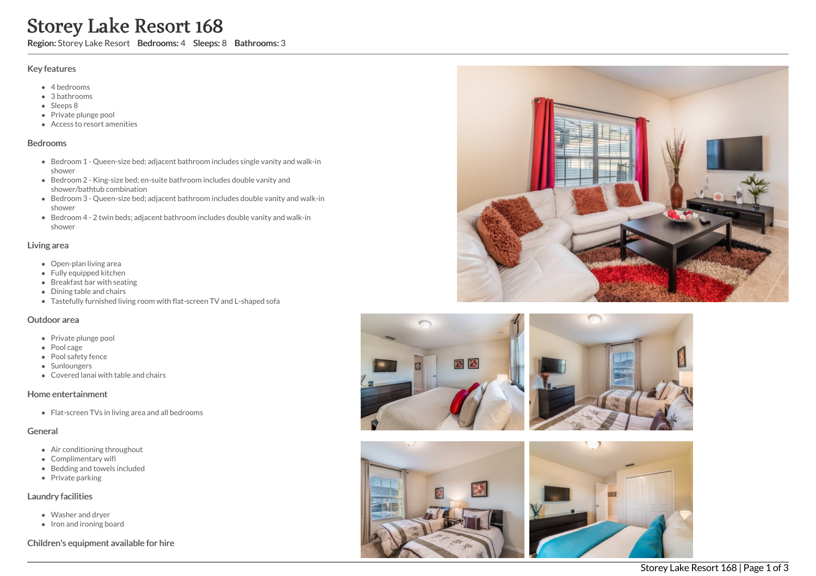# Storey Lake Resort 168

Region: Storey Lake Resort Bedrooms: 4 Sleeps: 8 Bathrooms: 3

#### Key features

- 4 bedrooms
- 3 bathrooms
- Sleeps 8
- Private plunge pool
- Access to resort amenities

#### Bedrooms

- Bedroom 1 Queen-size bed; adjacent bathroom includes single vanity and walk-in shower
- Bedroom 2 King-size bed; en-suite bathroom includes double vanity and shower/bathtub combination
- Bedroom 3 Queen-size bed; adjacent bathroom includes double vanity and walk-in shower
- Bedroom 4 2 twin beds; adjacent bathroom includes double vanity and walk-in shower

#### Living area

- Open-plan living area
- Fully equipped kitchen
- Breakfast bar with seating
- Dining table and chairs
- Tastefully furnished living room with flat-screen TV and L-shaped sofa

## Outdoor area

- Private plunge pool
- Pool cage
- Pool safety fence
- Sunloungers
- Covered lanai with table and chairs

## Home entertainment

Flat-screen TVs in living area and all bedrooms

## General

- Air conditioning throughout
- Complimentary wifi
- Bedding and towels included
- $\bullet$  Private parking

## Laundry facilities

- Washer and dryer
- Iron and ironing board

## Children's equipment available for hire







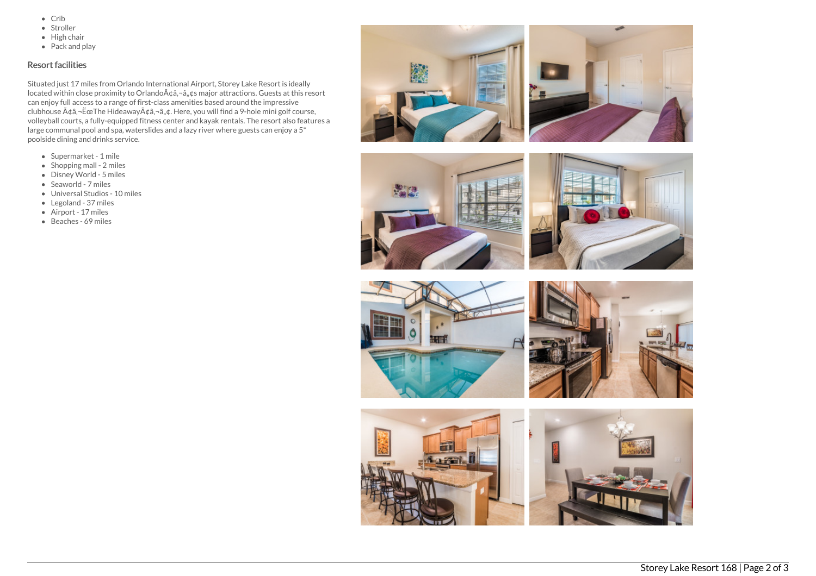- $\bullet$  Crib
- Stroller
- $\bullet$  High chair
- Pack and play

# Resort facilities

Situated just 17 miles from Orlando International Airport, Storey Lake Resort is ideally located within close proximity to Orlando ââ, ¬â, ¢s major attractions. Guests at this resort can enjoy full access to a range of first-class amenities based around the impressive clubhouse  $A\phi$ â, - ËœThe Hideaway $A\phi$ â, - â, ¢. Here, you will find a 9-hole mini golf course, volleyball courts, a fully-equipped fitness center and kayak rentals. The resort also features a large communal pool and spa, waterslides and a lazy river where guests can enjoy a 5\* poolside dining and drinks service.

- Supermarket 1 mile
- Shopping mall 2 miles
- Disney World 5 miles
- Seaworld 7 miles
- Universal Studios 10 miles
- Legoland 37 miles
- Airport 17 miles
- Beaches 69 miles